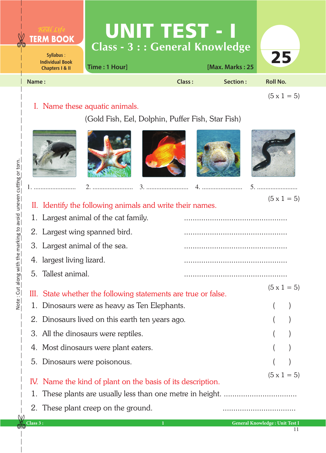

## I. Name these aquatic animals.

## (Gold Fish, Eel, Dolphin, Puffer Fish, Star Fish)











1. ......................... 2. ........................ 3. ......................... 4. ........................ 5. ........................

 $(5 \times 1 = 5)$ 

| II. Identify the following animals and write their names.                         |                    |  | $\sqrt{a}$ $\frac{1}{2}$ |
|-----------------------------------------------------------------------------------|--------------------|--|--------------------------|
| 1. Largest animal of the cat family.                                              |                    |  |                          |
| 2. Largest wing spanned bird.                                                     |                    |  |                          |
| 3. Largest animal of the sea.                                                     |                    |  |                          |
| 4. largest living lizard.                                                         |                    |  |                          |
| 5. Tallest animal.                                                                |                    |  |                          |
| III. State whether the following statements are true or false.                    | $(5 \times 1 = 5)$ |  |                          |
| 1. Dinosaurs were as heavy as Ten Elephants.                                      |                    |  |                          |
| 2. Dinosaurs lived on this earth ten years ago.                                   |                    |  |                          |
| 3. All the dinosaurs were reptiles.                                               |                    |  |                          |
| 4. Most dinosaurs were plant eaters.                                              |                    |  |                          |
| 5. Dinosaurs were poisonous.                                                      |                    |  |                          |
| $(5 \times 1 = 5)$<br>IV. Name the kind of plant on the basis of its description. |                    |  |                          |
|                                                                                   |                    |  |                          |

2. These plant creep on the ground.

11